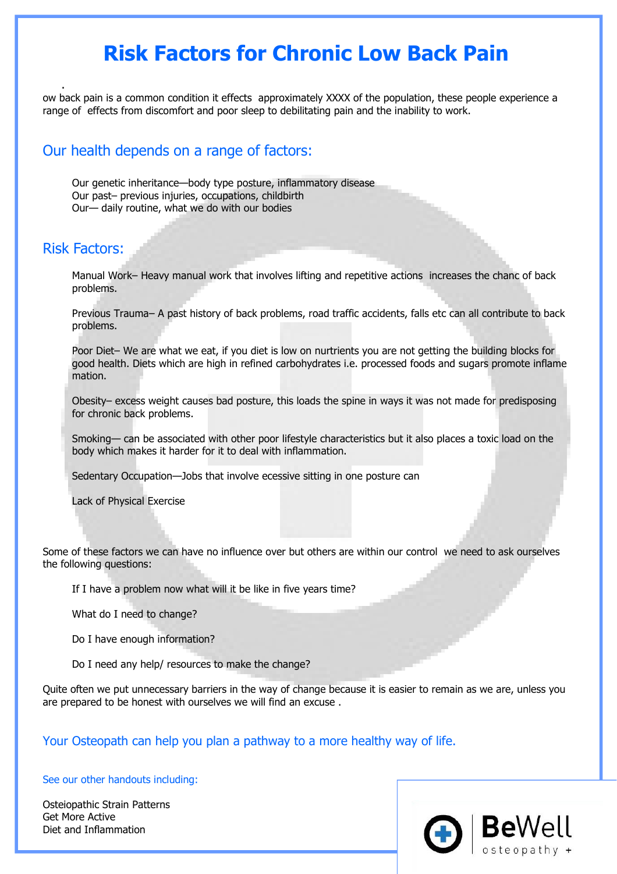# Risk Factors for Chronic Low Back Pain

ow back pain is a common condition it effects approximately XXXX of the population, these people experience a range of effects from discomfort and poor sleep to debilitating pain and the inability to work.

## Our health depends on a range of factors:

Our genetic inheritance—body type posture, inflammatory disease Our past– previous injuries, occupations, childbirth Our— daily routine, what we do with our bodies

## Risk Factors:

.

 Manual Work– Heavy manual work that involves lifting and repetitive actions increases the chanc of back problems.

 Previous Trauma– A past history of back problems, road traffic accidents, falls etc can all contribute to back problems.

 Poor Diet– We are what we eat, if you diet is low on nurtrients you are not getting the building blocks for good health. Diets which are high in refined carbohydrates i.e. processed foods and sugars promote inflame mation.

 Obesity– excess weight causes bad posture, this loads the spine in ways it was not made for predisposing for chronic back problems.

 Smoking— can be associated with other poor lifestyle characteristics but it also places a toxic load on the body which makes it harder for it to deal with inflammation.

Sedentary Occupation—Jobs that involve ecessive sitting in one posture can

Lack of Physical Exercise

Some of these factors we can have no influence over but others are within our control we need to ask ourselves the following questions:

If I have a problem now what will it be like in five years time?

What do I need to change?

Do I have enough information?

Do I need any help/ resources to make the change?

Quite often we put unnecessary barriers in the way of change because it is easier to remain as we are, unless you are prepared to be honest with ourselves we will find an excuse .

Your Osteopath can help you plan a pathway to a more healthy way of life.

See our other handouts including:

Osteiopathic Strain Patterns Get More Active Diet and Inflammation

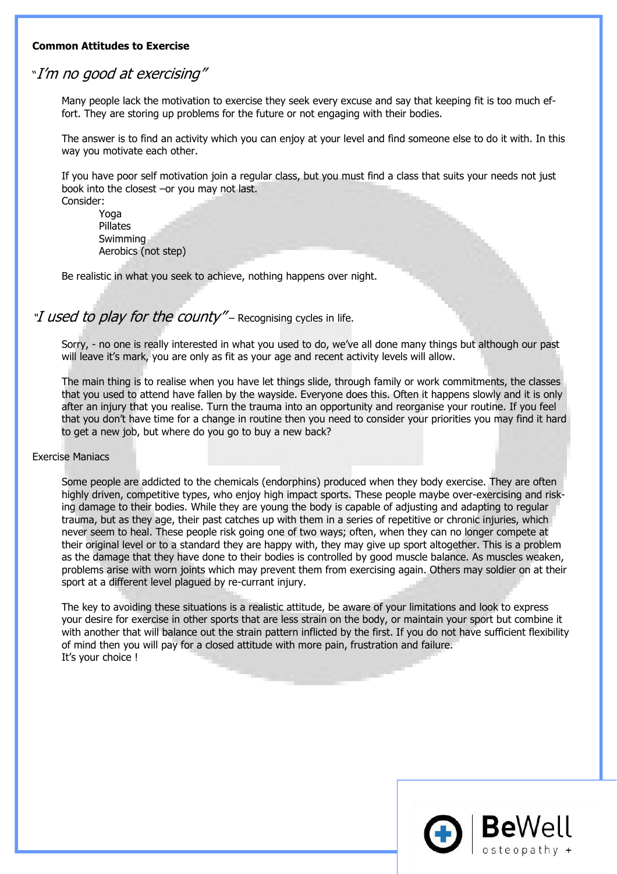#### Common Attitudes to Exercise

### "I'm no good at exercising"

Many people lack the motivation to exercise they seek every excuse and say that keeping fit is too much effort. They are storing up problems for the future or not engaging with their bodies.

The answer is to find an activity which you can enjoy at your level and find someone else to do it with. In this way you motivate each other.

If you have poor self motivation join a regular class, but you must find a class that suits your needs not just book into the closest –or you may not last.

Consider:

Yoga Pillates Swimming Aerobics (not step)

Be realistic in what you seek to achieve, nothing happens over night.

## "I used to play for the county" – Recognising cycles in life.

Sorry, - no one is really interested in what you used to do, we've all done many things but although our past will leave it's mark, you are only as fit as your age and recent activity levels will allow.

The main thing is to realise when you have let things slide, through family or work commitments, the classes that you used to attend have fallen by the wayside. Everyone does this. Often it happens slowly and it is only after an injury that you realise. Turn the trauma into an opportunity and reorganise your routine. If you feel that you don't have time for a change in routine then you need to consider your priorities you may find it hard to get a new job, but where do you go to buy a new back?

#### Exercise Maniacs

Some people are addicted to the chemicals (endorphins) produced when they body exercise. They are often highly driven, competitive types, who enjoy high impact sports. These people maybe over-exercising and risking damage to their bodies. While they are young the body is capable of adjusting and adapting to regular trauma, but as they age, their past catches up with them in a series of repetitive or chronic injuries, which never seem to heal. These people risk going one of two ways; often, when they can no longer compete at their original level or to a standard they are happy with, they may give up sport altogether. This is a problem as the damage that they have done to their bodies is controlled by good muscle balance. As muscles weaken, problems arise with worn joints which may prevent them from exercising again. Others may soldier on at their sport at a different level plagued by re-currant injury.

The key to avoiding these situations is a realistic attitude, be aware of your limitations and look to express your desire for exercise in other sports that are less strain on the body, or maintain your sport but combine it with another that will balance out the strain pattern inflicted by the first. If you do not have sufficient flexibility of mind then you will pay for a closed attitude with more pain, frustration and failure. It's your choice !

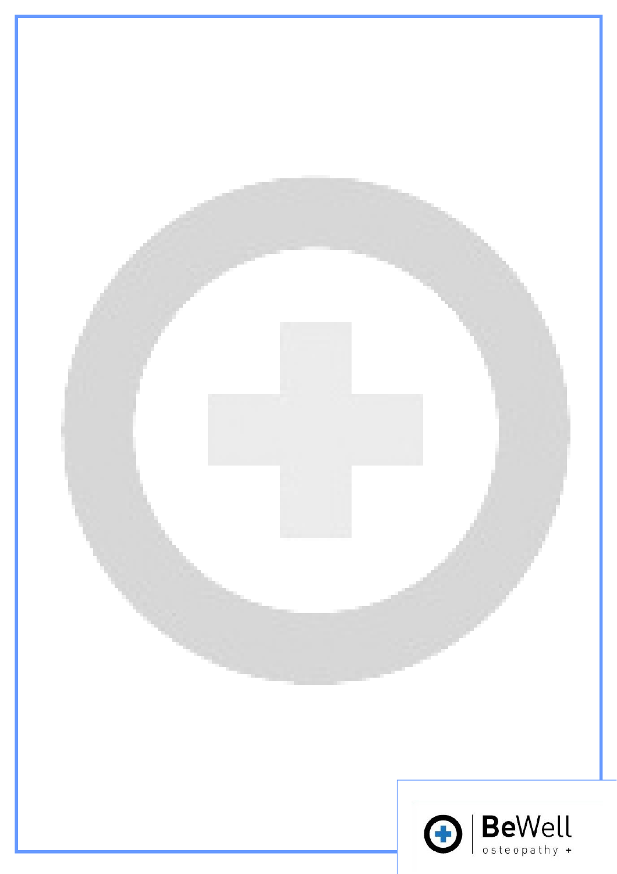